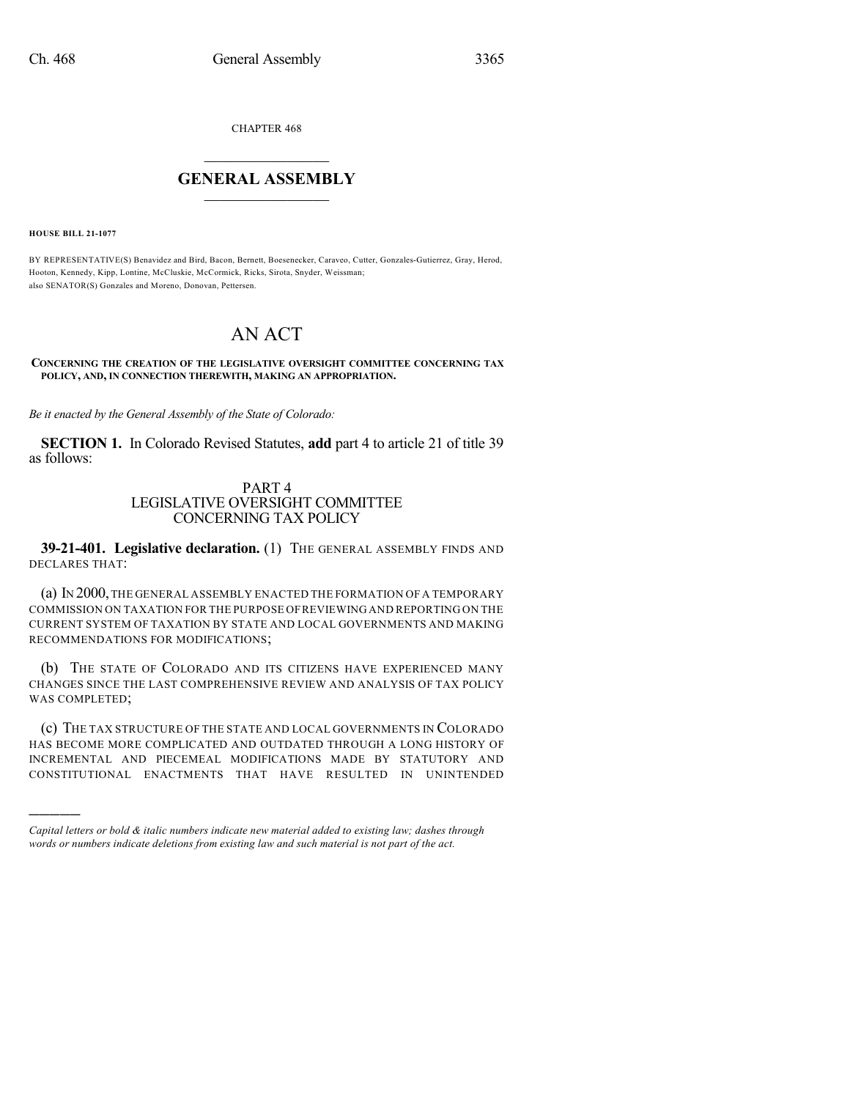CHAPTER 468

## $\mathcal{L}_\text{max}$  . The set of the set of the set of the set of the set of the set of the set of the set of the set of the set of the set of the set of the set of the set of the set of the set of the set of the set of the set **GENERAL ASSEMBLY**  $\frac{1}{\sqrt{2}}$

**HOUSE BILL 21-1077**

)))))

BY REPRESENTATIVE(S) Benavidez and Bird, Bacon, Bernett, Boesenecker, Caraveo, Cutter, Gonzales-Gutierrez, Gray, Herod, Hooton, Kennedy, Kipp, Lontine, McCluskie, McCormick, Ricks, Sirota, Snyder, Weissman; also SENATOR(S) Gonzales and Moreno, Donovan, Pettersen.

# AN ACT

#### **CONCERNING THE CREATION OF THE LEGISLATIVE OVERSIGHT COMMITTEE CONCERNING TAX POLICY, AND, IN CONNECTION THEREWITH, MAKING AN APPROPRIATION.**

*Be it enacted by the General Assembly of the State of Colorado:*

**SECTION 1.** In Colorado Revised Statutes, **add** part 4 to article 21 of title 39 as follows:

## PART 4 LEGISLATIVE OVERSIGHT COMMITTEE CONCERNING TAX POLICY

**39-21-401. Legislative declaration.** (1) THE GENERAL ASSEMBLY FINDS AND DECLARES THAT:

(a) IN 2000,THE GENERAL ASSEMBLY ENACTED THE FORMATION OF A TEMPORARY COMMISSION ON TAXATION FOR THE PURPOSE OFREVIEWING AND REPORTING ON THE CURRENT SYSTEM OF TAXATION BY STATE AND LOCAL GOVERNMENTS AND MAKING RECOMMENDATIONS FOR MODIFICATIONS;

(b) THE STATE OF COLORADO AND ITS CITIZENS HAVE EXPERIENCED MANY CHANGES SINCE THE LAST COMPREHENSIVE REVIEW AND ANALYSIS OF TAX POLICY WAS COMPLETED;

(c) THE TAX STRUCTURE OF THE STATE AND LOCAL GOVERNMENTS IN COLORADO HAS BECOME MORE COMPLICATED AND OUTDATED THROUGH A LONG HISTORY OF INCREMENTAL AND PIECEMEAL MODIFICATIONS MADE BY STATUTORY AND CONSTITUTIONAL ENACTMENTS THAT HAVE RESULTED IN UNINTENDED

*Capital letters or bold & italic numbers indicate new material added to existing law; dashes through words or numbers indicate deletions from existing law and such material is not part of the act.*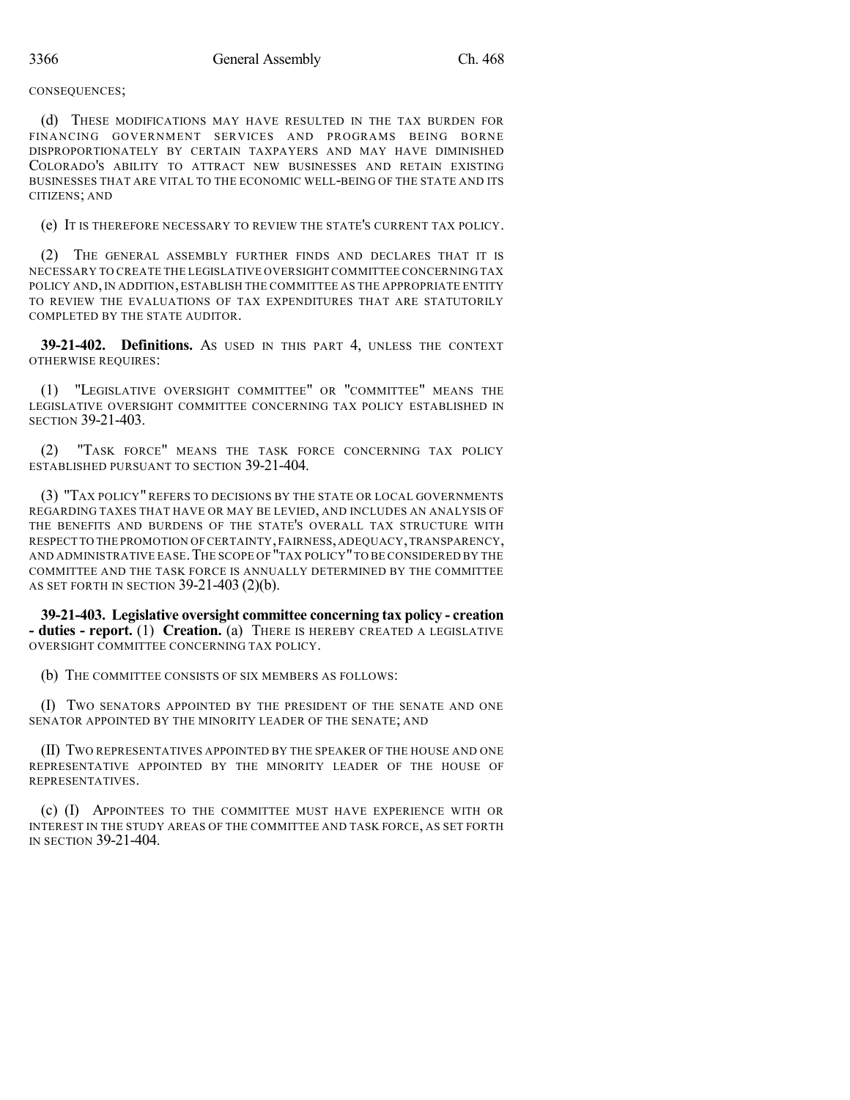CONSEQUENCES;

(d) THESE MODIFICATIONS MAY HAVE RESULTED IN THE TAX BURDEN FOR FINANCING GOVERNMENT SERVICES AND PROGRAMS BEING BORNE DISPROPORTIONATELY BY CERTAIN TAXPAYERS AND MAY HAVE DIMINISHED COLORADO'S ABILITY TO ATTRACT NEW BUSINESSES AND RETAIN EXISTING BUSINESSES THAT ARE VITAL TO THE ECONOMIC WELL-BEING OF THE STATE AND ITS CITIZENS; AND

(e) IT IS THEREFORE NECESSARY TO REVIEW THE STATE'S CURRENT TAX POLICY.

(2) THE GENERAL ASSEMBLY FURTHER FINDS AND DECLARES THAT IT IS NECESSARY TO CREATE THE LEGISLATIVE OVERSIGHT COMMITTEE CONCERNING TAX POLICY AND, IN ADDITION, ESTABLISH THE COMMITTEE AS THE APPROPRIATE ENTITY TO REVIEW THE EVALUATIONS OF TAX EXPENDITURES THAT ARE STATUTORILY COMPLETED BY THE STATE AUDITOR.

**39-21-402. Definitions.** AS USED IN THIS PART 4, UNLESS THE CONTEXT OTHERWISE REQUIRES:

(1) "LEGISLATIVE OVERSIGHT COMMITTEE" OR "COMMITTEE" MEANS THE LEGISLATIVE OVERSIGHT COMMITTEE CONCERNING TAX POLICY ESTABLISHED IN SECTION 39-21-403.

(2) "TASK FORCE" MEANS THE TASK FORCE CONCERNING TAX POLICY ESTABLISHED PURSUANT TO SECTION 39-21-404.

(3) "TAX POLICY" REFERS TO DECISIONS BY THE STATE OR LOCAL GOVERNMENTS REGARDING TAXES THAT HAVE OR MAY BE LEVIED, AND INCLUDES AN ANALYSIS OF THE BENEFITS AND BURDENS OF THE STATE'S OVERALL TAX STRUCTURE WITH RESPECT TO THE PROMOTION OF CERTAINTY,FAIRNESS,ADEQUACY,TRANSPARENCY, AND ADMINISTRATIVE EASE. THE SCOPE OF "TAX POLICY" TO BE CONSIDERED BY THE COMMITTEE AND THE TASK FORCE IS ANNUALLY DETERMINED BY THE COMMITTEE AS SET FORTH IN SECTION 39-21-403 (2)(b).

**39-21-403. Legislative oversight committee concerning tax policy - creation - duties - report.** (1) **Creation.** (a) THERE IS HEREBY CREATED A LEGISLATIVE OVERSIGHT COMMITTEE CONCERNING TAX POLICY.

(b) THE COMMITTEE CONSISTS OF SIX MEMBERS AS FOLLOWS:

(I) TWO SENATORS APPOINTED BY THE PRESIDENT OF THE SENATE AND ONE SENATOR APPOINTED BY THE MINORITY LEADER OF THE SENATE; AND

(II) TWO REPRESENTATIVES APPOINTED BY THE SPEAKER OF THE HOUSE AND ONE REPRESENTATIVE APPOINTED BY THE MINORITY LEADER OF THE HOUSE OF REPRESENTATIVES.

(c) (I) APPOINTEES TO THE COMMITTEE MUST HAVE EXPERIENCE WITH OR INTEREST IN THE STUDY AREAS OF THE COMMITTEE AND TASK FORCE, AS SET FORTH IN SECTION 39-21-404.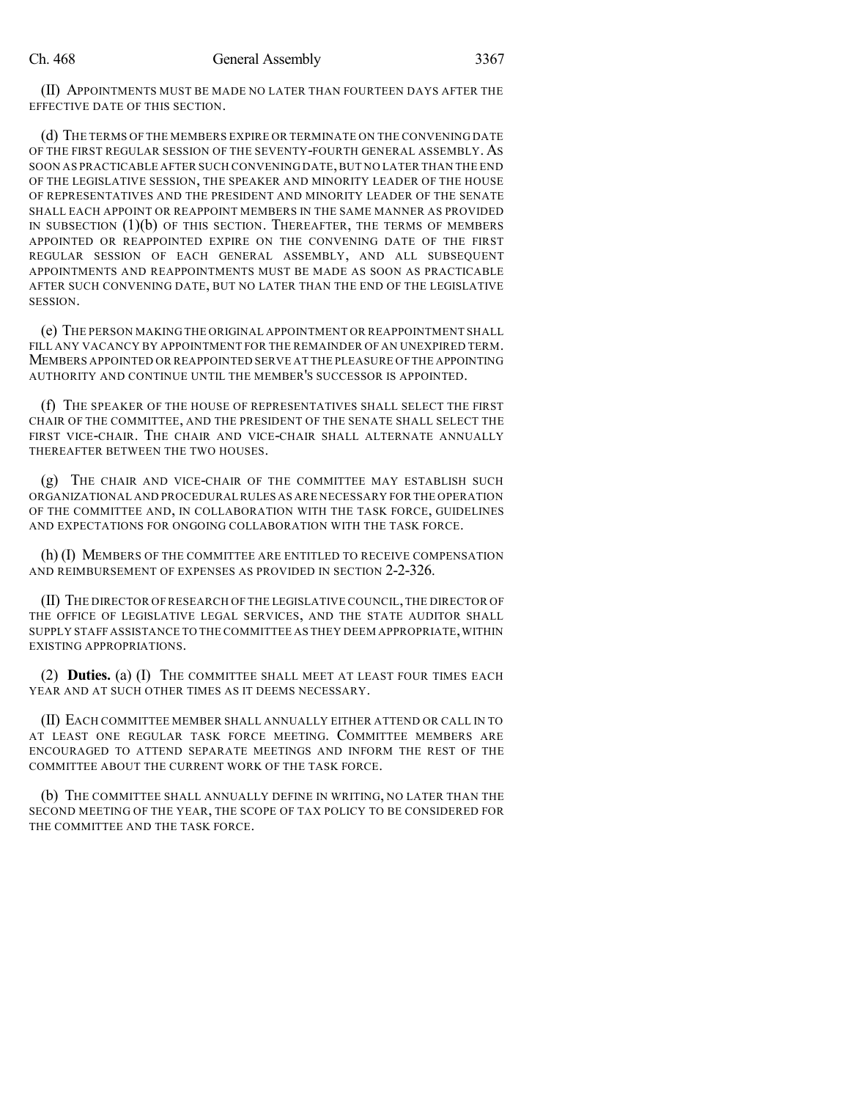(II) APPOINTMENTS MUST BE MADE NO LATER THAN FOURTEEN DAYS AFTER THE EFFECTIVE DATE OF THIS SECTION.

(d) THE TERMS OF THE MEMBERS EXPIRE OR TERMINATE ON THE CONVENING DATE OF THE FIRST REGULAR SESSION OF THE SEVENTY-FOURTH GENERAL ASSEMBLY. AS SOON AS PRACTICABLE AFTER SUCH CONVENING DATE,BUT NO LATER THAN THE END OF THE LEGISLATIVE SESSION, THE SPEAKER AND MINORITY LEADER OF THE HOUSE OF REPRESENTATIVES AND THE PRESIDENT AND MINORITY LEADER OF THE SENATE SHALL EACH APPOINT OR REAPPOINT MEMBERS IN THE SAME MANNER AS PROVIDED IN SUBSECTION  $(1)(b)$  of this section. Thereafter, the terms of members APPOINTED OR REAPPOINTED EXPIRE ON THE CONVENING DATE OF THE FIRST REGULAR SESSION OF EACH GENERAL ASSEMBLY, AND ALL SUBSEQUENT APPOINTMENTS AND REAPPOINTMENTS MUST BE MADE AS SOON AS PRACTICABLE AFTER SUCH CONVENING DATE, BUT NO LATER THAN THE END OF THE LEGISLATIVE SESSION.

(e) THE PERSON MAKING THE ORIGINAL APPOINTMENT OR REAPPOINTMENT SHALL FILL ANY VACANCY BY APPOINTMENT FOR THE REMAINDER OF AN UNEXPIRED TERM. MEMBERS APPOINTED OR REAPPOINTED SERVE AT THE PLEASURE OFTHE APPOINTING AUTHORITY AND CONTINUE UNTIL THE MEMBER'S SUCCESSOR IS APPOINTED.

(f) THE SPEAKER OF THE HOUSE OF REPRESENTATIVES SHALL SELECT THE FIRST CHAIR OF THE COMMITTEE, AND THE PRESIDENT OF THE SENATE SHALL SELECT THE FIRST VICE-CHAIR. THE CHAIR AND VICE-CHAIR SHALL ALTERNATE ANNUALLY THEREAFTER BETWEEN THE TWO HOUSES.

(g) THE CHAIR AND VICE-CHAIR OF THE COMMITTEE MAY ESTABLISH SUCH ORGANIZATIONAL AND PROCEDURAL RULES AS ARE NECESSARY FOR THE OPERATION OF THE COMMITTEE AND, IN COLLABORATION WITH THE TASK FORCE, GUIDELINES AND EXPECTATIONS FOR ONGOING COLLABORATION WITH THE TASK FORCE.

(h) (I) MEMBERS OF THE COMMITTEE ARE ENTITLED TO RECEIVE COMPENSATION AND REIMBURSEMENT OF EXPENSES AS PROVIDED IN SECTION 2-2-326.

(II) THE DIRECTOR OF RESEARCH OF THE LEGISLATIVE COUNCIL,THE DIRECTOR OF THE OFFICE OF LEGISLATIVE LEGAL SERVICES, AND THE STATE AUDITOR SHALL SUPPLY STAFF ASSISTANCE TO THE COMMITTEE AS THEY DEEM APPROPRIATE,WITHIN EXISTING APPROPRIATIONS.

(2) **Duties.** (a) (I) THE COMMITTEE SHALL MEET AT LEAST FOUR TIMES EACH YEAR AND AT SUCH OTHER TIMES AS IT DEEMS NECESSARY.

(II) EACH COMMITTEE MEMBER SHALL ANNUALLY EITHER ATTEND OR CALL IN TO AT LEAST ONE REGULAR TASK FORCE MEETING. COMMITTEE MEMBERS ARE ENCOURAGED TO ATTEND SEPARATE MEETINGS AND INFORM THE REST OF THE COMMITTEE ABOUT THE CURRENT WORK OF THE TASK FORCE.

(b) THE COMMITTEE SHALL ANNUALLY DEFINE IN WRITING, NO LATER THAN THE SECOND MEETING OF THE YEAR, THE SCOPE OF TAX POLICY TO BE CONSIDERED FOR THE COMMITTEE AND THE TASK FORCE.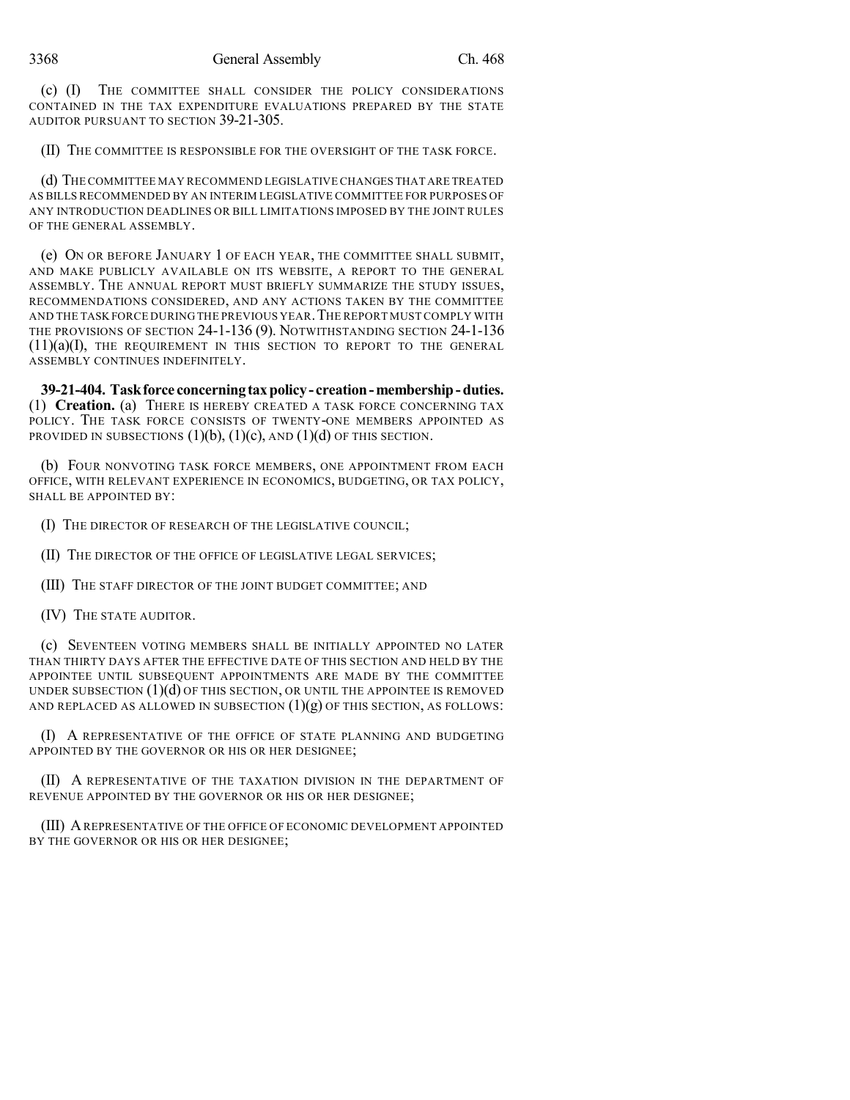(c) (I) THE COMMITTEE SHALL CONSIDER THE POLICY CONSIDERATIONS CONTAINED IN THE TAX EXPENDITURE EVALUATIONS PREPARED BY THE STATE AUDITOR PURSUANT TO SECTION 39-21-305.

(II) THE COMMITTEE IS RESPONSIBLE FOR THE OVERSIGHT OF THE TASK FORCE.

(d) THE COMMITTEE MAY RECOMMEND LEGISLATIVE CHANGES THAT ARE TREATED AS BILLS RECOMMENDED BY AN INTERIM LEGISLATIVE COMMITTEE FOR PURPOSES OF ANY INTRODUCTION DEADLINES OR BILL LIMITATIONS IMPOSED BY THE JOINT RULES OF THE GENERAL ASSEMBLY.

(e) ON OR BEFORE JANUARY 1 OF EACH YEAR, THE COMMITTEE SHALL SUBMIT, AND MAKE PUBLICLY AVAILABLE ON ITS WEBSITE, A REPORT TO THE GENERAL ASSEMBLY. THE ANNUAL REPORT MUST BRIEFLY SUMMARIZE THE STUDY ISSUES, RECOMMENDATIONS CONSIDERED, AND ANY ACTIONS TAKEN BY THE COMMITTEE AND THE TASK FORCE DURING THE PREVIOUS YEAR.THE REPORT MUSTCOMPLY WITH THE PROVISIONS OF SECTION 24-1-136 (9). NOTWITHSTANDING SECTION 24-1-136  $(11)(a)(I)$ , THE REQUIREMENT IN THIS SECTION TO REPORT TO THE GENERAL ASSEMBLY CONTINUES INDEFINITELY.

**39-21-404. Taskforce concerningtaxpolicy- creation-membership-duties.** (1) **Creation.** (a) THERE IS HEREBY CREATED A TASK FORCE CONCERNING TAX POLICY. THE TASK FORCE CONSISTS OF TWENTY-ONE MEMBERS APPOINTED AS PROVIDED IN SUBSECTIONS  $(1)(b)$ ,  $(1)(c)$ , AND  $(1)(d)$  OF THIS SECTION.

(b) FOUR NONVOTING TASK FORCE MEMBERS, ONE APPOINTMENT FROM EACH OFFICE, WITH RELEVANT EXPERIENCE IN ECONOMICS, BUDGETING, OR TAX POLICY, SHALL BE APPOINTED BY:

(I) THE DIRECTOR OF RESEARCH OF THE LEGISLATIVE COUNCIL;

(II) THE DIRECTOR OF THE OFFICE OF LEGISLATIVE LEGAL SERVICES;

(III) THE STAFF DIRECTOR OF THE JOINT BUDGET COMMITTEE; AND

(IV) THE STATE AUDITOR.

(c) SEVENTEEN VOTING MEMBERS SHALL BE INITIALLY APPOINTED NO LATER THAN THIRTY DAYS AFTER THE EFFECTIVE DATE OF THIS SECTION AND HELD BY THE APPOINTEE UNTIL SUBSEQUENT APPOINTMENTS ARE MADE BY THE COMMITTEE UNDER SUBSECTION  $(1)(d)$  OF THIS SECTION, OR UNTIL THE APPOINTEE IS REMOVED AND REPLACED AS ALLOWED IN SUBSECTION  $(1)(g)$  of this section, as follows:

(I) A REPRESENTATIVE OF THE OFFICE OF STATE PLANNING AND BUDGETING APPOINTED BY THE GOVERNOR OR HIS OR HER DESIGNEE;

(II) A REPRESENTATIVE OF THE TAXATION DIVISION IN THE DEPARTMENT OF REVENUE APPOINTED BY THE GOVERNOR OR HIS OR HER DESIGNEE;

(III) AREPRESENTATIVE OF THE OFFICE OF ECONOMIC DEVELOPMENT APPOINTED BY THE GOVERNOR OR HIS OR HER DESIGNEE;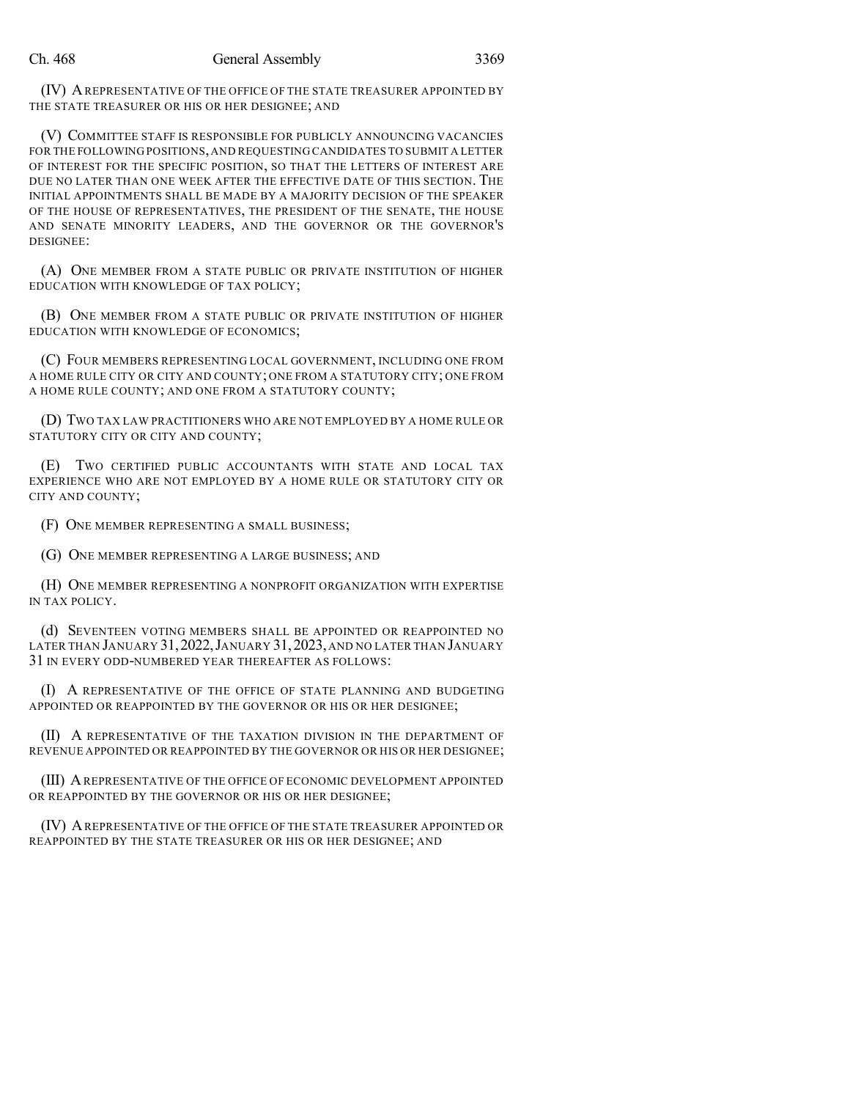(IV) AREPRESENTATIVE OF THE OFFICE OF THE STATE TREASURER APPOINTED BY THE STATE TREASURER OR HIS OR HER DESIGNEE; AND

(V) COMMITTEE STAFF IS RESPONSIBLE FOR PUBLICLY ANNOUNCING VACANCIES FOR THE FOLLOWING POSITIONS,AND REQUESTING CANDIDATES TO SUBMIT A LETTER OF INTEREST FOR THE SPECIFIC POSITION, SO THAT THE LETTERS OF INTEREST ARE DUE NO LATER THAN ONE WEEK AFTER THE EFFECTIVE DATE OF THIS SECTION. THE INITIAL APPOINTMENTS SHALL BE MADE BY A MAJORITY DECISION OF THE SPEAKER OF THE HOUSE OF REPRESENTATIVES, THE PRESIDENT OF THE SENATE, THE HOUSE AND SENATE MINORITY LEADERS, AND THE GOVERNOR OR THE GOVERNOR'S DESIGNEE:

(A) ONE MEMBER FROM A STATE PUBLIC OR PRIVATE INSTITUTION OF HIGHER EDUCATION WITH KNOWLEDGE OF TAX POLICY;

(B) ONE MEMBER FROM A STATE PUBLIC OR PRIVATE INSTITUTION OF HIGHER EDUCATION WITH KNOWLEDGE OF ECONOMICS;

(C) FOUR MEMBERS REPRESENTING LOCAL GOVERNMENT, INCLUDING ONE FROM A HOME RULE CITY OR CITY AND COUNTY; ONE FROM A STATUTORY CITY; ONE FROM A HOME RULE COUNTY; AND ONE FROM A STATUTORY COUNTY;

(D) TWO TAX LAW PRACTITIONERS WHO ARE NOT EMPLOYED BY A HOME RULE OR STATUTORY CITY OR CITY AND COUNTY;

(E) TWO CERTIFIED PUBLIC ACCOUNTANTS WITH STATE AND LOCAL TAX EXPERIENCE WHO ARE NOT EMPLOYED BY A HOME RULE OR STATUTORY CITY OR CITY AND COUNTY;

(F) ONE MEMBER REPRESENTING A SMALL BUSINESS;

(G) ONE MEMBER REPRESENTING A LARGE BUSINESS; AND

(H) ONE MEMBER REPRESENTING A NONPROFIT ORGANIZATION WITH EXPERTISE IN TAX POLICY.

(d) SEVENTEEN VOTING MEMBERS SHALL BE APPOINTED OR REAPPOINTED NO LATER THAN JANUARY 31,2022,JANUARY 31,2023, AND NO LATER THAN JANUARY 31 IN EVERY ODD-NUMBERED YEAR THEREAFTER AS FOLLOWS:

(I) A REPRESENTATIVE OF THE OFFICE OF STATE PLANNING AND BUDGETING APPOINTED OR REAPPOINTED BY THE GOVERNOR OR HIS OR HER DESIGNEE;

(II) A REPRESENTATIVE OF THE TAXATION DIVISION IN THE DEPARTMENT OF REVENUE APPOINTED OR REAPPOINTED BY THE GOVERNOR OR HIS OR HER DESIGNEE;

(III) AREPRESENTATIVE OF THE OFFICE OF ECONOMIC DEVELOPMENT APPOINTED OR REAPPOINTED BY THE GOVERNOR OR HIS OR HER DESIGNEE;

(IV) AREPRESENTATIVE OF THE OFFICE OF THE STATE TREASURER APPOINTED OR REAPPOINTED BY THE STATE TREASURER OR HIS OR HER DESIGNEE; AND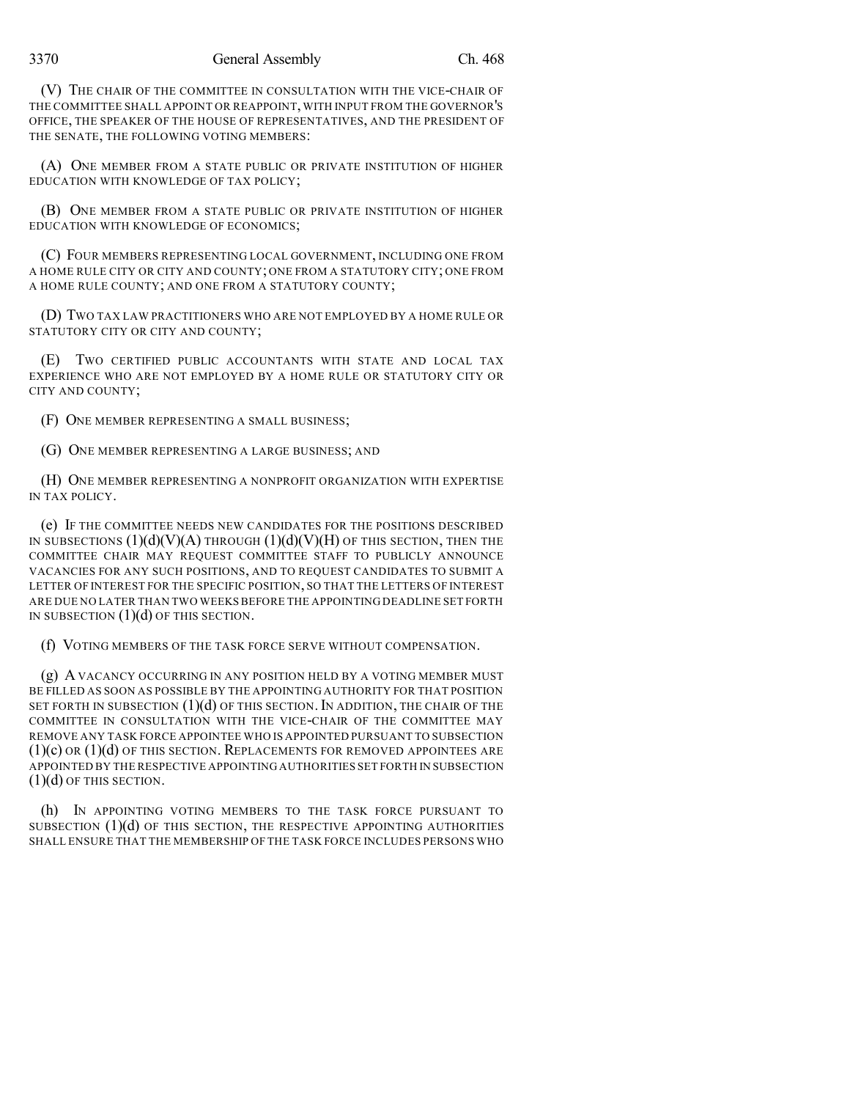(V) THE CHAIR OF THE COMMITTEE IN CONSULTATION WITH THE VICE-CHAIR OF THE COMMITTEE SHALL APPOINT OR REAPPOINT, WITH INPUT FROM THE GOVERNOR'S OFFICE, THE SPEAKER OF THE HOUSE OF REPRESENTATIVES, AND THE PRESIDENT OF THE SENATE, THE FOLLOWING VOTING MEMBERS:

(A) ONE MEMBER FROM A STATE PUBLIC OR PRIVATE INSTITUTION OF HIGHER EDUCATION WITH KNOWLEDGE OF TAX POLICY;

(B) ONE MEMBER FROM A STATE PUBLIC OR PRIVATE INSTITUTION OF HIGHER EDUCATION WITH KNOWLEDGE OF ECONOMICS;

(C) FOUR MEMBERS REPRESENTING LOCAL GOVERNMENT, INCLUDING ONE FROM A HOME RULE CITY OR CITY AND COUNTY; ONE FROM A STATUTORY CITY; ONE FROM A HOME RULE COUNTY; AND ONE FROM A STATUTORY COUNTY;

(D) TWO TAX LAW PRACTITIONERS WHO ARE NOT EMPLOYED BY A HOME RULE OR STATUTORY CITY OR CITY AND COUNTY;

(E) TWO CERTIFIED PUBLIC ACCOUNTANTS WITH STATE AND LOCAL TAX EXPERIENCE WHO ARE NOT EMPLOYED BY A HOME RULE OR STATUTORY CITY OR CITY AND COUNTY;

(F) ONE MEMBER REPRESENTING A SMALL BUSINESS;

(G) ONE MEMBER REPRESENTING A LARGE BUSINESS; AND

(H) ONE MEMBER REPRESENTING A NONPROFIT ORGANIZATION WITH EXPERTISE IN TAX POLICY.

(e) IF THE COMMITTEE NEEDS NEW CANDIDATES FOR THE POSITIONS DESCRIBED IN SUBSECTIONS  $(1)(d)(V)(A)$  THROUGH  $(1)(d)(V)(H)$  OF THIS SECTION, THEN THE COMMITTEE CHAIR MAY REQUEST COMMITTEE STAFF TO PUBLICLY ANNOUNCE VACANCIES FOR ANY SUCH POSITIONS, AND TO REQUEST CANDIDATES TO SUBMIT A LETTER OF INTEREST FOR THE SPECIFIC POSITION, SO THAT THE LETTERS OF INTEREST ARE DUE NO LATER THAN TWO WEEKS BEFORE THE APPOINTING DEADLINE SET FORTH IN SUBSECTION  $(1)(d)$  OF THIS SECTION.

(f) VOTING MEMBERS OF THE TASK FORCE SERVE WITHOUT COMPENSATION.

(g) A VACANCY OCCURRING IN ANY POSITION HELD BY A VOTING MEMBER MUST BE FILLED AS SOON AS POSSIBLE BY THE APPOINTING AUTHORITY FOR THAT POSITION SET FORTH IN SUBSECTION  $(1)(d)$  of this section. In addition, the chair of the COMMITTEE IN CONSULTATION WITH THE VICE-CHAIR OF THE COMMITTEE MAY REMOVE ANY TASK FORCE APPOINTEE WHO IS APPOINTED PURSUANT TO SUBSECTION  $(1)(c)$  or  $(1)(d)$  of this section. Replacements for removed appointees are APPOINTED BY THE RESPECTIVE APPOINTING AUTHORITIES SET FORTH IN SUBSECTION  $(1)(d)$  OF THIS SECTION.

(h) IN APPOINTING VOTING MEMBERS TO THE TASK FORCE PURSUANT TO SUBSECTION  $(1)(d)$  of this section, the respective appointing authorities SHALL ENSURE THAT THE MEMBERSHIP OF THE TASK FORCE INCLUDES PERSONS WHO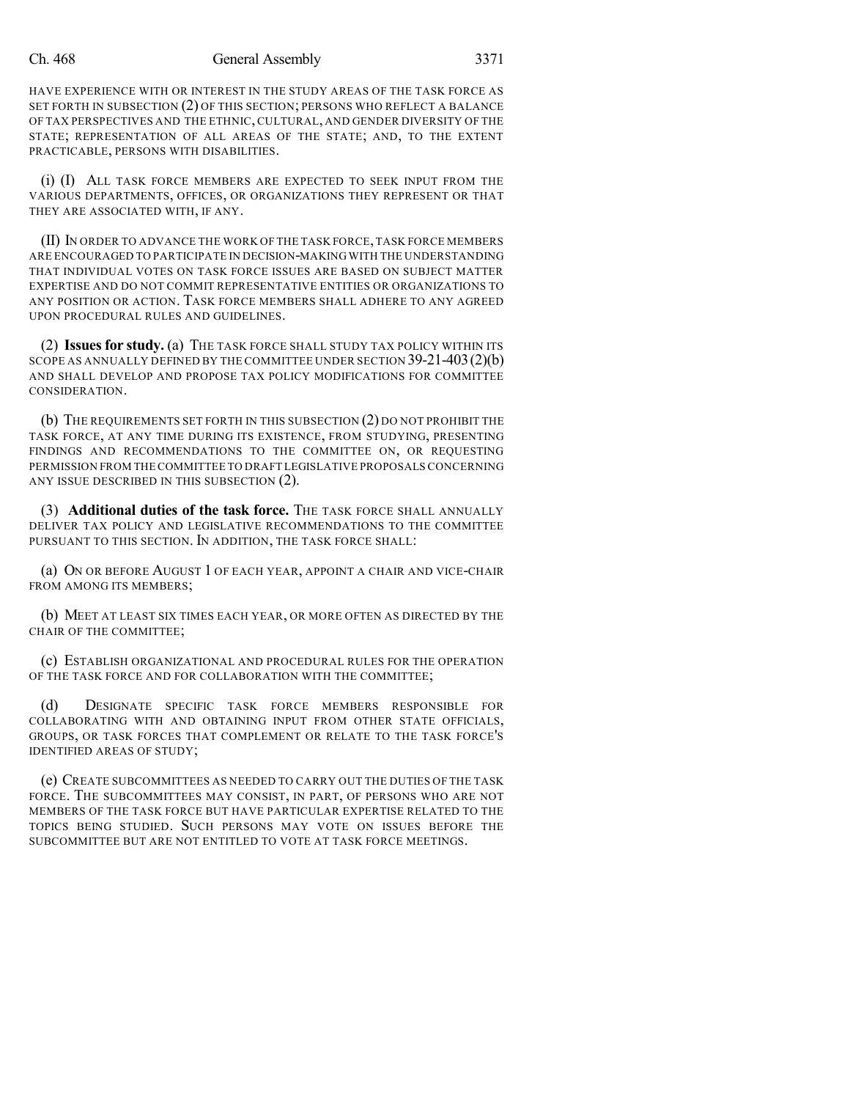### Ch. 468 General Assembly 3371

HAVE EXPERIENCE WITH OR INTEREST IN THE STUDY AREAS OF THE TASK FORCE AS SET FORTH IN SUBSECTION (2) OF THIS SECTION; PERSONS WHO REFLECT A BALANCE OF TAX PERSPECTIVES AND THE ETHNIC, CULTURAL, AND GENDER DIVERSITY OF THE STATE; REPRESENTATION OF ALL AREAS OF THE STATE; AND, TO THE EXTENT PRACTICABLE, PERSONS WITH DISABILITIES.

(i) (I) ALL TASK FORCE MEMBERS ARE EXPECTED TO SEEK INPUT FROM THE VARIOUS DEPARTMENTS, OFFICES, OR ORGANIZATIONS THEY REPRESENT OR THAT THEY ARE ASSOCIATED WITH, IF ANY.

(II) IN ORDER TO ADVANCE THE WORK OF THE TASK FORCE,TASK FORCE MEMBERS ARE ENCOURAGED TO PARTICIPATE IN DECISION-MAKING WITH THE UNDERSTANDING THAT INDIVIDUAL VOTES ON TASK FORCE ISSUES ARE BASED ON SUBJECT MATTER EXPERTISE AND DO NOT COMMIT REPRESENTATIVE ENTITIES OR ORGANIZATIONS TO ANY POSITION OR ACTION. TASK FORCE MEMBERS SHALL ADHERE TO ANY AGREED UPON PROCEDURAL RULES AND GUIDELINES.

(2) **Issuesfor study.** (a) THE TASK FORCE SHALL STUDY TAX POLICY WITHIN ITS SCOPE AS ANNUALLY DEFINED BY THE COMMITTEE UNDER SECTION 39-21-403 (2)(b) AND SHALL DEVELOP AND PROPOSE TAX POLICY MODIFICATIONS FOR COMMITTEE CONSIDERATION.

(b) THE REQUIREMENTS SET FORTH IN THIS SUBSECTION (2) DO NOT PROHIBIT THE TASK FORCE, AT ANY TIME DURING ITS EXISTENCE, FROM STUDYING, PRESENTING FINDINGS AND RECOMMENDATIONS TO THE COMMITTEE ON, OR REQUESTING PERMISSION FROM THE COMMITTEE TO DRAFT LEGISLATIVE PROPOSALS CONCERNING ANY ISSUE DESCRIBED IN THIS SUBSECTION  $(2)$ .

(3) **Additional duties of the task force.** THE TASK FORCE SHALL ANNUALLY DELIVER TAX POLICY AND LEGISLATIVE RECOMMENDATIONS TO THE COMMITTEE PURSUANT TO THIS SECTION. IN ADDITION, THE TASK FORCE SHALL:

(a) ON OR BEFORE AUGUST 1 OF EACH YEAR, APPOINT A CHAIR AND VICE-CHAIR FROM AMONG ITS MEMBERS;

(b) MEET AT LEAST SIX TIMES EACH YEAR, OR MORE OFTEN AS DIRECTED BY THE CHAIR OF THE COMMITTEE;

(c) ESTABLISH ORGANIZATIONAL AND PROCEDURAL RULES FOR THE OPERATION OF THE TASK FORCE AND FOR COLLABORATION WITH THE COMMITTEE;

(d) DESIGNATE SPECIFIC TASK FORCE MEMBERS RESPONSIBLE FOR COLLABORATING WITH AND OBTAINING INPUT FROM OTHER STATE OFFICIALS, GROUPS, OR TASK FORCES THAT COMPLEMENT OR RELATE TO THE TASK FORCE'S IDENTIFIED AREAS OF STUDY;

(e) CREATE SUBCOMMITTEES AS NEEDED TO CARRY OUT THE DUTIES OF THE TASK FORCE. THE SUBCOMMITTEES MAY CONSIST, IN PART, OF PERSONS WHO ARE NOT MEMBERS OF THE TASK FORCE BUT HAVE PARTICULAR EXPERTISE RELATED TO THE TOPICS BEING STUDIED. SUCH PERSONS MAY VOTE ON ISSUES BEFORE THE SUBCOMMITTEE BUT ARE NOT ENTITLED TO VOTE AT TASK FORCE MEETINGS.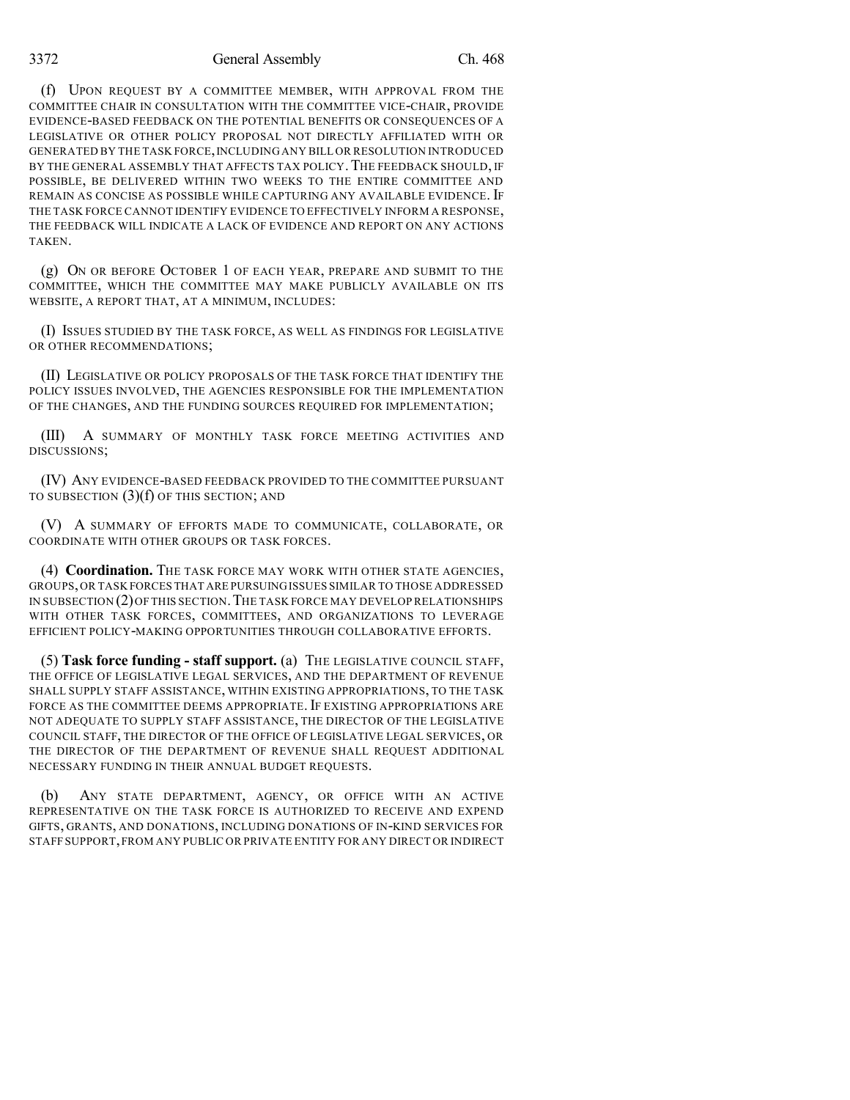## 3372 General Assembly Ch. 468

(f) UPON REQUEST BY A COMMITTEE MEMBER, WITH APPROVAL FROM THE COMMITTEE CHAIR IN CONSULTATION WITH THE COMMITTEE VICE-CHAIR, PROVIDE EVIDENCE-BASED FEEDBACK ON THE POTENTIAL BENEFITS OR CONSEQUENCES OF A LEGISLATIVE OR OTHER POLICY PROPOSAL NOT DIRECTLY AFFILIATED WITH OR GENERATED BY THE TASK FORCE, INCLUDING ANY BILL OR RESOLUTION INTRODUCED BY THE GENERAL ASSEMBLY THAT AFFECTS TAX POLICY. THE FEEDBACK SHOULD, IF POSSIBLE, BE DELIVERED WITHIN TWO WEEKS TO THE ENTIRE COMMITTEE AND REMAIN AS CONCISE AS POSSIBLE WHILE CAPTURING ANY AVAILABLE EVIDENCE. IF THE TASK FORCE CANNOT IDENTIFY EVIDENCE TO EFFECTIVELY INFORM A RESPONSE, THE FEEDBACK WILL INDICATE A LACK OF EVIDENCE AND REPORT ON ANY ACTIONS **TAKEN** 

(g) ON OR BEFORE OCTOBER 1 OF EACH YEAR, PREPARE AND SUBMIT TO THE COMMITTEE, WHICH THE COMMITTEE MAY MAKE PUBLICLY AVAILABLE ON ITS WEBSITE, A REPORT THAT, AT A MINIMUM, INCLUDES:

(I) ISSUES STUDIED BY THE TASK FORCE, AS WELL AS FINDINGS FOR LEGISLATIVE OR OTHER RECOMMENDATIONS;

(II) LEGISLATIVE OR POLICY PROPOSALS OF THE TASK FORCE THAT IDENTIFY THE POLICY ISSUES INVOLVED, THE AGENCIES RESPONSIBLE FOR THE IMPLEMENTATION OF THE CHANGES, AND THE FUNDING SOURCES REQUIRED FOR IMPLEMENTATION;

(III) A SUMMARY OF MONTHLY TASK FORCE MEETING ACTIVITIES AND DISCUSSIONS;

(IV) ANY EVIDENCE-BASED FEEDBACK PROVIDED TO THE COMMITTEE PURSUANT TO SUBSECTION (3)(f) OF THIS SECTION; AND

(V) A SUMMARY OF EFFORTS MADE TO COMMUNICATE, COLLABORATE, OR COORDINATE WITH OTHER GROUPS OR TASK FORCES.

(4) **Coordination.** THE TASK FORCE MAY WORK WITH OTHER STATE AGENCIES, GROUPS,OR TASK FORCES THAT ARE PURSUINGISSUES SIMILAR TO THOSE ADDRESSED IN SUBSECTION (2)OF THIS SECTION.THE TASK FORCE MAY DEVELOP RELATIONSHIPS WITH OTHER TASK FORCES, COMMITTEES, AND ORGANIZATIONS TO LEVERAGE EFFICIENT POLICY-MAKING OPPORTUNITIES THROUGH COLLABORATIVE EFFORTS.

(5) **Task force funding - staff support.** (a) THE LEGISLATIVE COUNCIL STAFF, THE OFFICE OF LEGISLATIVE LEGAL SERVICES, AND THE DEPARTMENT OF REVENUE SHALL SUPPLY STAFF ASSISTANCE, WITHIN EXISTING APPROPRIATIONS, TO THE TASK FORCE AS THE COMMITTEE DEEMS APPROPRIATE. IF EXISTING APPROPRIATIONS ARE NOT ADEQUATE TO SUPPLY STAFF ASSISTANCE, THE DIRECTOR OF THE LEGISLATIVE COUNCIL STAFF, THE DIRECTOR OF THE OFFICE OF LEGISLATIVE LEGAL SERVICES, OR THE DIRECTOR OF THE DEPARTMENT OF REVENUE SHALL REQUEST ADDITIONAL NECESSARY FUNDING IN THEIR ANNUAL BUDGET REQUESTS.

(b) ANY STATE DEPARTMENT, AGENCY, OR OFFICE WITH AN ACTIVE REPRESENTATIVE ON THE TASK FORCE IS AUTHORIZED TO RECEIVE AND EXPEND GIFTS, GRANTS, AND DONATIONS, INCLUDING DONATIONS OF IN-KIND SERVICES FOR STAFF SUPPORT,FROM ANY PUBLIC OR PRIVATE ENTITY FOR ANY DIRECT OR INDIRECT